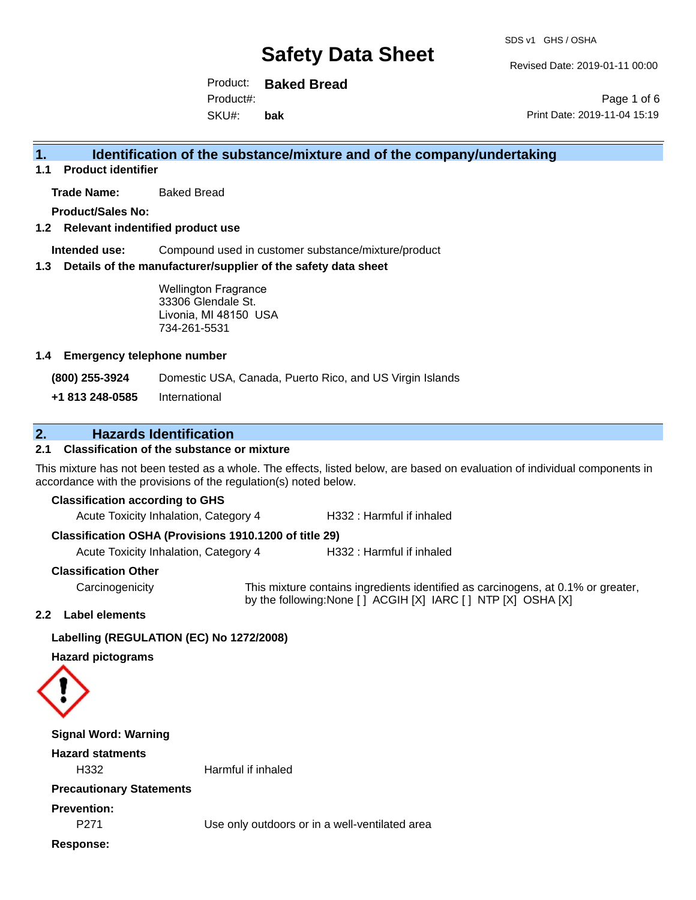Revised Date: 2019-01-11 00:00

Product: **Baked Bread** Product#:

SKU#: **bak**

Page 1 of 6 Print Date: 2019-11-04 15:19

## **1. Identification of the substance/mixture and of the company/undertaking**

**1.1 Product identifier**

**Trade Name:** Baked Bread

**Product/Sales No:**

**1.2 Relevant indentified product use**

**Intended use:** Compound used in customer substance/mixture/product

**1.3 Details of the manufacturer/supplier of the safety data sheet**

Wellington Fragrance 33306 Glendale St. Livonia, MI 48150 USA 734-261-5531

#### **1.4 Emergency telephone number**

**(800) 255-3924** Domestic USA, Canada, Puerto Rico, and US Virgin Islands

**+1 813 248-0585** International

## **2. Hazards Identification**

### **2.1 Classification of the substance or mixture**

This mixture has not been tested as a whole. The effects, listed below, are based on evaluation of individual components in accordance with the provisions of the regulation(s) noted below.

#### **Classification according to GHS**

Acute Toxicity Inhalation, Category 4 H332 : Harmful if inhaled

#### **Classification OSHA (Provisions 1910.1200 of title 29)**

Acute Toxicity Inhalation, Category 4 H332 : Harmful if inhaled

#### **Classification Other**

Carcinogenicity This mixture contains ingredients identified as carcinogens, at 0.1% or greater, by the following:None [ ] ACGIH [X] IARC [ ] NTP [X] OSHA [X]

#### **2.2 Label elements**

#### **Labelling (REGULATION (EC) No 1272/2008)**

**Hazard pictograms**



| <b>Signal Word: Warning</b>            |                                                |
|----------------------------------------|------------------------------------------------|
| <b>Hazard statments</b>                |                                                |
| H332                                   | Harmful if inhaled                             |
| <b>Precautionary Statements</b>        |                                                |
| <b>Prevention:</b><br>P <sub>271</sub> | Use only outdoors or in a well-ventilated area |
| Response:                              |                                                |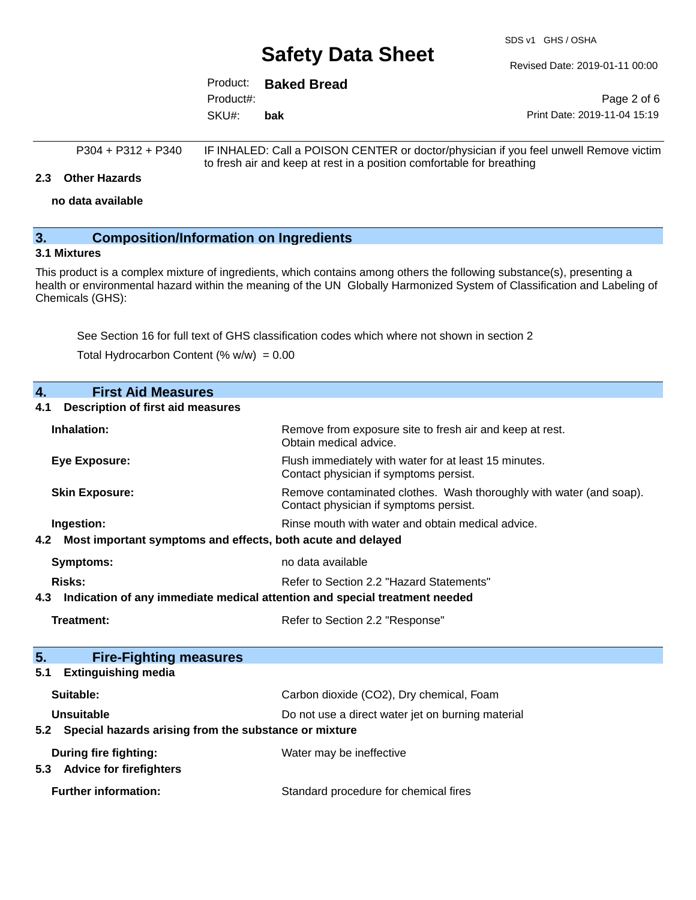SDS v1 GHS / OSHA

Revised Date: 2019-01-11 00:00

|           | Product: Baked Bread |
|-----------|----------------------|
| Product#: |                      |
| SKU#:     | bak                  |

Page 2 of 6 Print Date: 2019-11-04 15:19

```
P304 + P312 + P340 IF INHALED: Call a POISON CENTER or doctor/physician if you feel unwell Remove victim
            to fresh air and keep at rest in a position comfortable for breathing
```
#### **2.3 Other Hazards**

**no data available**

### **3. Composition/Information on Ingredients**

### **3.1 Mixtures**

This product is a complex mixture of ingredients, which contains among others the following substance(s), presenting a health or environmental hazard within the meaning of the UN Globally Harmonized System of Classification and Labeling of Chemicals (GHS):

See Section 16 for full text of GHS classification codes which where not shown in section 2

Total Hydrocarbon Content  $(\% w/w) = 0.00$ 

| 4.<br><b>First Aid Measures</b>                                                   |                                                                                                               |
|-----------------------------------------------------------------------------------|---------------------------------------------------------------------------------------------------------------|
| <b>Description of first aid measures</b><br>4.1                                   |                                                                                                               |
| Inhalation:                                                                       | Remove from exposure site to fresh air and keep at rest.<br>Obtain medical advice.                            |
| <b>Eye Exposure:</b>                                                              | Flush immediately with water for at least 15 minutes.<br>Contact physician if symptoms persist.               |
| <b>Skin Exposure:</b>                                                             | Remove contaminated clothes. Wash thoroughly with water (and soap).<br>Contact physician if symptoms persist. |
| Ingestion:                                                                        | Rinse mouth with water and obtain medical advice.                                                             |
| Most important symptoms and effects, both acute and delayed<br>4.2                |                                                                                                               |
| <b>Symptoms:</b>                                                                  | no data available                                                                                             |
| Risks:                                                                            | Refer to Section 2.2 "Hazard Statements"                                                                      |
|                                                                                   |                                                                                                               |
| Indication of any immediate medical attention and special treatment needed<br>4.3 |                                                                                                               |
| Treatment:                                                                        | Refer to Section 2.2 "Response"                                                                               |
|                                                                                   |                                                                                                               |
| 5.<br><b>Fire-Fighting measures</b>                                               |                                                                                                               |
| <b>Extinguishing media</b><br>5.1                                                 |                                                                                                               |
| Suitable:                                                                         | Carbon dioxide (CO2), Dry chemical, Foam                                                                      |
| Unsuitable                                                                        | Do not use a direct water jet on burning material                                                             |
| Special hazards arising from the substance or mixture<br>5.2                      |                                                                                                               |
| During fire fighting:<br><b>Advice for firefighters</b><br>5.3                    | Water may be ineffective                                                                                      |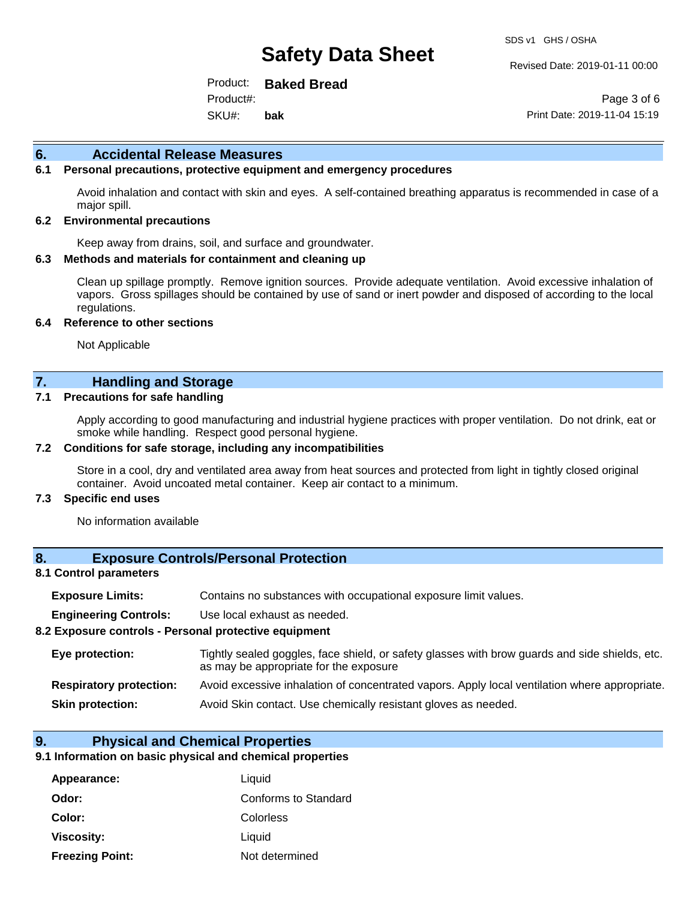Revised Date: 2019-01-11 00:00

Product: **Baked Bread** SKU#: Product#: **bak**

Page 3 of 6 Print Date: 2019-11-04 15:19

#### **6. Accidental Release Measures**

### **6.1 Personal precautions, protective equipment and emergency procedures**

Avoid inhalation and contact with skin and eyes. A self-contained breathing apparatus is recommended in case of a major spill.

#### **6.2 Environmental precautions**

Keep away from drains, soil, and surface and groundwater.

#### **6.3 Methods and materials for containment and cleaning up**

Clean up spillage promptly. Remove ignition sources. Provide adequate ventilation. Avoid excessive inhalation of vapors. Gross spillages should be contained by use of sand or inert powder and disposed of according to the local regulations.

#### **6.4 Reference to other sections**

Not Applicable

### **7. Handling and Storage**

#### **7.1 Precautions for safe handling**

Apply according to good manufacturing and industrial hygiene practices with proper ventilation. Do not drink, eat or smoke while handling. Respect good personal hygiene.

#### **7.2 Conditions for safe storage, including any incompatibilities**

Store in a cool, dry and ventilated area away from heat sources and protected from light in tightly closed original container. Avoid uncoated metal container. Keep air contact to a minimum.

#### **7.3 Specific end uses**

No information available

#### **8. Exposure Controls/Personal Protection**

#### **8.1 Control parameters**

| <b>Exposure Limits:</b> |  |  |  | Contains no substances with occupational exposure limit values. |  |
|-------------------------|--|--|--|-----------------------------------------------------------------|--|
|-------------------------|--|--|--|-----------------------------------------------------------------|--|

**Engineering Controls:** Use local exhaust as needed.

#### **8.2 Exposure controls - Personal protective equipment**

| Eye protection:                | Tightly sealed goggles, face shield, or safety glasses with brow guards and side shields, etc.<br>as may be appropriate for the exposure |
|--------------------------------|------------------------------------------------------------------------------------------------------------------------------------------|
| <b>Respiratory protection:</b> | Avoid excessive inhalation of concentrated vapors. Apply local ventilation where appropriate.                                            |
| <b>Skin protection:</b>        | Avoid Skin contact. Use chemically resistant gloves as needed.                                                                           |

#### **9. Physical and Chemical Properties**

#### **9.1 Information on basic physical and chemical properties**

| Appearance:            | Liquid               |
|------------------------|----------------------|
| Odor:                  | Conforms to Standard |
| Color:                 | Colorless            |
| Viscosity:             | Liquid               |
| <b>Freezing Point:</b> | Not determined       |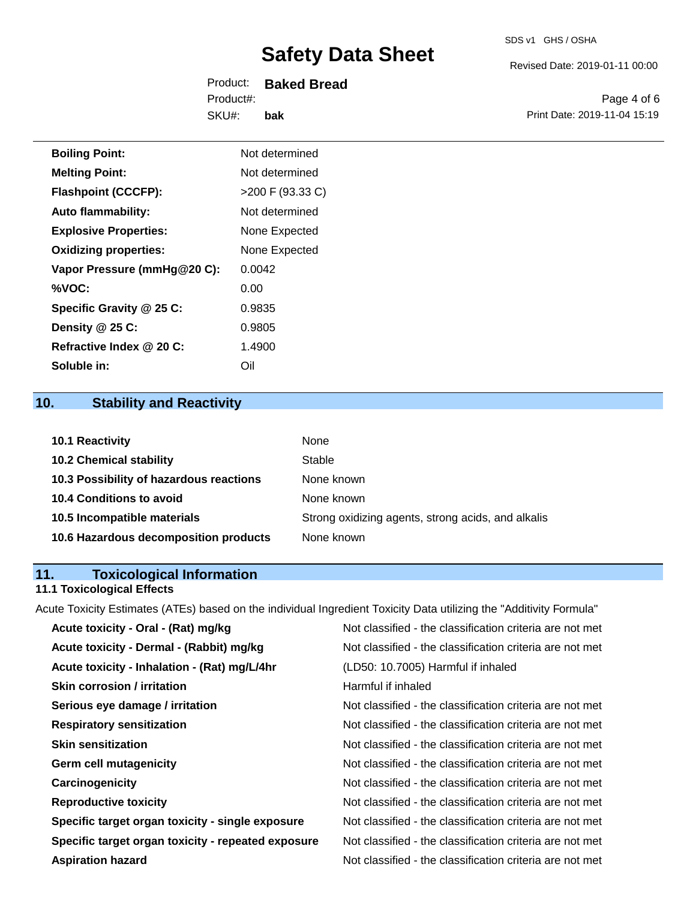Revised Date: 2019-01-11 00:00

Product: **Baked Bread** SKU#: Product#: **bak**

Page 4 of 6 Print Date: 2019-11-04 15:19

| <b>Boiling Point:</b>        | Not determined     |
|------------------------------|--------------------|
| <b>Melting Point:</b>        | Not determined     |
| <b>Flashpoint (CCCFP):</b>   | $>200$ F (93.33 C) |
| <b>Auto flammability:</b>    | Not determined     |
| <b>Explosive Properties:</b> | None Expected      |
| <b>Oxidizing properties:</b> | None Expected      |
| Vapor Pressure (mmHg@20 C):  | 0.0042             |
| %VOC:                        | 0.00               |
| Specific Gravity @ 25 C:     | 0.9835             |
| Density @ 25 C:              | 0.9805             |
| Refractive Index @ 20 C:     | 1.4900             |
| Soluble in:                  | Oil                |

## **10. Stability and Reactivity**

| <b>10.1 Reactivity</b>                  | None                                               |
|-----------------------------------------|----------------------------------------------------|
| <b>10.2 Chemical stability</b>          | Stable                                             |
| 10.3 Possibility of hazardous reactions | None known                                         |
| <b>10.4 Conditions to avoid</b>         | None known                                         |
| 10.5 Incompatible materials             | Strong oxidizing agents, strong acids, and alkalis |
| 10.6 Hazardous decomposition products   | None known                                         |

## **11. Toxicological Information**

## **11.1 Toxicological Effects**

Acute Toxicity Estimates (ATEs) based on the individual Ingredient Toxicity Data utilizing the "Additivity Formula"

| Acute toxicity - Oral - (Rat) mg/kg                | Not classified - the classification criteria are not met |
|----------------------------------------------------|----------------------------------------------------------|
| Acute toxicity - Dermal - (Rabbit) mg/kg           | Not classified - the classification criteria are not met |
| Acute toxicity - Inhalation - (Rat) mg/L/4hr       | (LD50: 10.7005) Harmful if inhaled                       |
| <b>Skin corrosion / irritation</b>                 | Harmful if inhaled                                       |
| Serious eye damage / irritation                    | Not classified - the classification criteria are not met |
| <b>Respiratory sensitization</b>                   | Not classified - the classification criteria are not met |
| <b>Skin sensitization</b>                          | Not classified - the classification criteria are not met |
| <b>Germ cell mutagenicity</b>                      | Not classified - the classification criteria are not met |
| Carcinogenicity                                    | Not classified - the classification criteria are not met |
| <b>Reproductive toxicity</b>                       | Not classified - the classification criteria are not met |
| Specific target organ toxicity - single exposure   | Not classified - the classification criteria are not met |
| Specific target organ toxicity - repeated exposure | Not classified - the classification criteria are not met |
| <b>Aspiration hazard</b>                           | Not classified - the classification criteria are not met |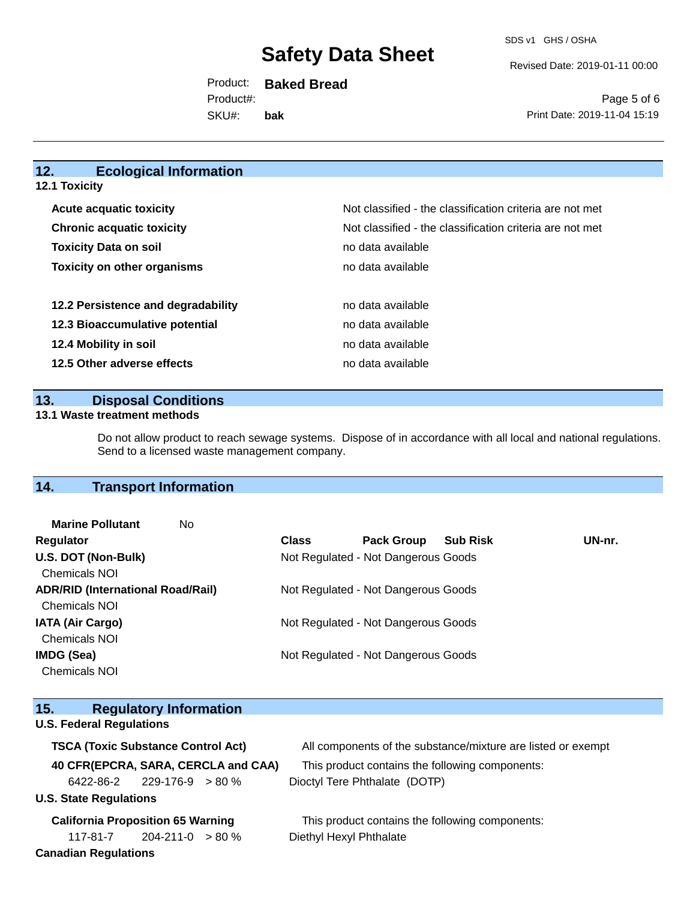Revised Date: 2019-01-11 00:00

Product: **Baked Bread** SKU#: Product#: **bak**

Page 5 of 6 Print Date: 2019-11-04 15:19

## **12. Ecological Information**

|  |  | 12.1 Toxicity |
|--|--|---------------|
|--|--|---------------|

| <b>Acute acquatic toxicity</b>     | Not classified - the classification criteria are not met |
|------------------------------------|----------------------------------------------------------|
| <b>Chronic acquatic toxicity</b>   | Not classified - the classification criteria are not met |
| <b>Toxicity Data on soil</b>       | no data available                                        |
| <b>Toxicity on other organisms</b> | no data available                                        |
|                                    |                                                          |
| 12.2 Persistence and degradability | no data available                                        |
| 12.3 Bioaccumulative potential     | no data available                                        |
| 12.4 Mobility in soil              | no data available                                        |
| 12.5 Other adverse effects         | no data available                                        |

#### **13. Disposal Conditions**

#### **13.1 Waste treatment methods**

Do not allow product to reach sewage systems. Dispose of in accordance with all local and national regulations. Send to a licensed waste management company.

## **14. Transport Information**

**15. Regulatory Information** 

| <b>Marine Pollutant</b><br>No            |              |                                     |                 |        |
|------------------------------------------|--------------|-------------------------------------|-----------------|--------|
| Regulator                                | <b>Class</b> | <b>Pack Group</b>                   | <b>Sub Risk</b> | UN-nr. |
| U.S. DOT (Non-Bulk)                      |              | Not Regulated - Not Dangerous Goods |                 |        |
| <b>Chemicals NOI</b>                     |              |                                     |                 |        |
| <b>ADR/RID (International Road/Rail)</b> |              | Not Regulated - Not Dangerous Goods |                 |        |
| <b>Chemicals NOI</b>                     |              |                                     |                 |        |
| <b>IATA (Air Cargo)</b>                  |              | Not Regulated - Not Dangerous Goods |                 |        |
| <b>Chemicals NOI</b>                     |              |                                     |                 |        |
| <b>IMDG (Sea)</b>                        |              | Not Regulated - Not Dangerous Goods |                 |        |
| <b>Chemicals NOI</b>                     |              |                                     |                 |        |

| 15. I<br><b>Requiatory Information</b>    |                                                              |
|-------------------------------------------|--------------------------------------------------------------|
| <b>U.S. Federal Regulations</b>           |                                                              |
| <b>TSCA (Toxic Substance Control Act)</b> | All components of the substance/mixture are listed or exempt |
| 40 CFR(EPCRA, SARA, CERCLA and CAA)       | This product contains the following components:              |
| $6422 - 86 - 2$ 229-176-9 > 80 %          | Dioctyl Tere Phthalate (DOTP)                                |
| <b>U.S. State Regulations</b>             |                                                              |
| <b>California Proposition 65 Warning</b>  | This product contains the following components:              |
| $204 - 211 - 0 > 80 \%$<br>117-81-7       | Diethyl Hexyl Phthalate                                      |
| <b>Canadian Regulations</b>               |                                                              |